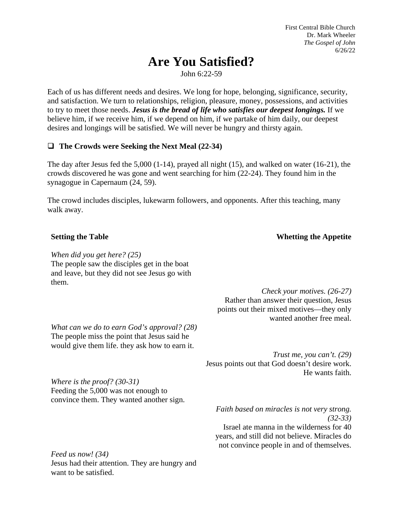First Central Bible Church Dr. Mark Wheeler *The Gospel of John* 6/26/22

# **Are You Satisfied?**

John 6:22-59

Each of us has different needs and desires. We long for hope, belonging, significance, security, and satisfaction. We turn to relationships, religion, pleasure, money, possessions, and activities to try to meet those needs. *Jesus is the bread of life who satisfies our deepest longings.* If we believe him, if we receive him, if we depend on him, if we partake of him daily, our deepest desires and longings will be satisfied. We will never be hungry and thirsty again.

#### **The Crowds were Seeking the Next Meal (22-34)**

The day after Jesus fed the 5,000 (1-14), prayed all night (15), and walked on water (16-21), the crowds discovered he was gone and went searching for him (22-24). They found him in the synagogue in Capernaum (24, 59).

The crowd includes disciples, lukewarm followers, and opponents. After this teaching, many walk away.

#### **Setting the Table Whetting the Appetite**

*When did you get here? (25)* The people saw the disciples get in the boat and leave, but they did not see Jesus go with them.

*Check your motives. (26-27)* Rather than answer their question, Jesus points out their mixed motives—they only wanted another free meal.

*What can we do to earn God's approval? (28)* The people miss the point that Jesus said he would give them life. they ask how to earn it.

> *Trust me, you can't. (29)* Jesus points out that God doesn't desire work. He wants faith.

*Where is the proof? (30-31)* Feeding the 5,000 was not enough to convince them. They wanted another sign.

> *Faith based on miracles is not very strong. (32-33)*

> Israel ate manna in the wilderness for 40 years, and still did not believe. Miracles do not convince people in and of themselves.

*Feed us now! (34)* Jesus had their attention. They are hungry and want to be satisfied.